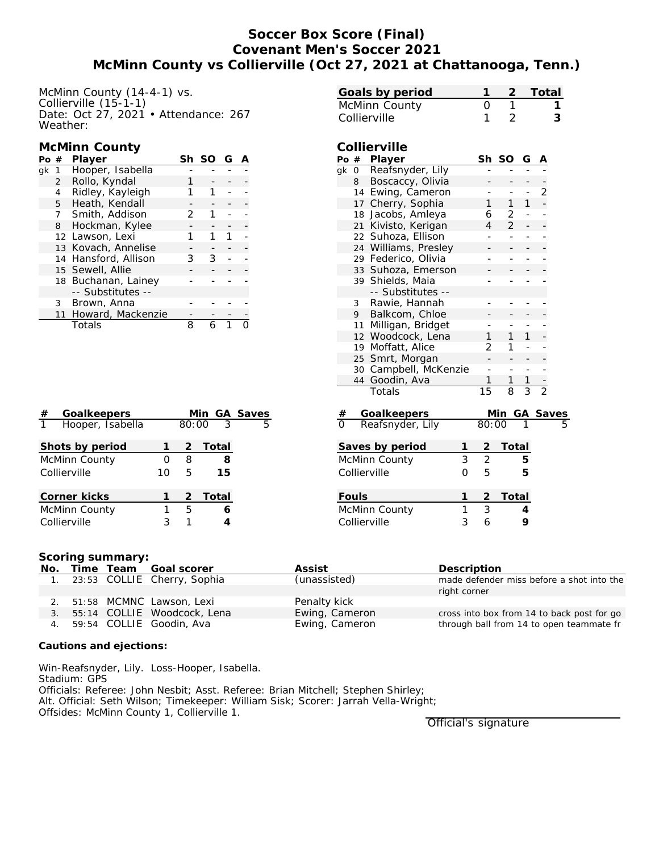# **Soccer Box Score (Final) Covenant Men's Soccer 2021 McMinn County vs Collierville (Oct 27, 2021 at Chattanooga, Tenn.)**

McMinn County (14-4-1) vs. Collierville (15-1-1) Date: Oct 27, 2021 • Attendance: 267 Weather:

### **McMinn County**

| Po | #              | Player               | Sh | -SO | G |  |
|----|----------------|----------------------|----|-----|---|--|
| ak | 1              | Hooper, Isabella     |    |     |   |  |
|    | $\overline{2}$ | Rollo, Kyndal        |    |     |   |  |
|    | 4              | Ridley, Kayleigh     |    |     |   |  |
|    | 5              | Heath, Kendall       |    |     |   |  |
|    | 7              | Smith, Addison       | 2  |     |   |  |
|    | 8              | Hockman, Kylee       |    |     |   |  |
|    |                | 12 Lawson, Lexi      |    |     |   |  |
|    |                | 13 Kovach, Annelise  |    |     |   |  |
|    |                | 14 Hansford, Allison | 3  | 3   |   |  |
|    |                | 15 Sewell, Allie     |    |     |   |  |
|    |                | 18 Buchanan, Lainey  |    |     |   |  |
|    |                | -- Substitutes --    |    |     |   |  |
|    | 3              | Brown, Anna          |    |     |   |  |
|    |                | 11 Howard, Mackenzie |    |     |   |  |
|    |                | Totals               | 8  |     |   |  |

| #            | Goalkeepers      |    |       | Min   | <b>GA Saves</b> |
|--------------|------------------|----|-------|-------|-----------------|
| $\mathbf{1}$ | Hooper, Isabella |    | 80:00 | 3     | 5               |
|              |                  |    |       |       |                 |
|              | Shots by period  | 1  | 2     | Total |                 |
|              | McMinn County    | Ω  | 8     | 8     |                 |
|              | Collierville     | 10 | 5     | 15    |                 |
|              |                  |    |       |       |                 |
|              | Corner kicks     | 1  | 2     | Total |                 |
|              | McMinn County    | 1  | 5     | 6     |                 |
|              | Collierville     | 3  |       |       |                 |

| 0<br>McMinn County<br>Collierville<br>1<br>2<br>3<br>Collierville<br>Po # Player<br>Sh<br><b>SO</b><br>G<br>Reafsnyder, Lily<br>$\overline{qk}$<br>$\overline{0}$<br>8<br>Boscaccy, Olivia<br>$\overline{c}$<br>14 Ewing, Cameron<br>$\overline{\phantom{0}}$<br>1<br>1<br>17 Cherry, Sophia<br>1<br>18 Jacobs, Amleya<br>2<br>6<br>$\overline{2}$<br>21 Kivisto, Kerigan<br>4<br>Suhoza, Ellison<br>22<br>L.<br>Williams, Presley<br>24<br>29 Federico, Olivia<br>÷,<br>L,<br>$\overline{\phantom{0}}$<br>33 Suhoza, Emerson<br>39 Shields, Maia<br>-- Substitutes --<br>Rawie, Hannah<br>3<br>9<br>Balkcom, Chloe<br>Milligan, Bridget<br>11<br>12 Woodcock, Lena<br>1<br>1<br>1<br>19 Moffatt, Alice<br>2<br>1<br>25 Smrt, Morgan<br>30 Campbell, McKenzie<br>÷,<br>44<br>Goodin, Ava<br>1<br>1<br>1<br>$\overline{15}$<br>$\overline{2}$<br>$\overline{3}$<br>$\overline{8}$<br>Totals<br>Goalkeepers<br>Reafsnyder, Lily<br>$\frac{\text{Min}}{80:00}$<br>GA Saves | Goals by period | 1 | $\overline{2}$ | Total |  |
|-------------------------------------------------------------------------------------------------------------------------------------------------------------------------------------------------------------------------------------------------------------------------------------------------------------------------------------------------------------------------------------------------------------------------------------------------------------------------------------------------------------------------------------------------------------------------------------------------------------------------------------------------------------------------------------------------------------------------------------------------------------------------------------------------------------------------------------------------------------------------------------------------------------------------------------------------------------------------|-----------------|---|----------------|-------|--|
|                                                                                                                                                                                                                                                                                                                                                                                                                                                                                                                                                                                                                                                                                                                                                                                                                                                                                                                                                                         |                 |   | $\overline{1}$ |       |  |
|                                                                                                                                                                                                                                                                                                                                                                                                                                                                                                                                                                                                                                                                                                                                                                                                                                                                                                                                                                         |                 |   |                |       |  |
|                                                                                                                                                                                                                                                                                                                                                                                                                                                                                                                                                                                                                                                                                                                                                                                                                                                                                                                                                                         |                 |   |                |       |  |
|                                                                                                                                                                                                                                                                                                                                                                                                                                                                                                                                                                                                                                                                                                                                                                                                                                                                                                                                                                         |                 |   |                |       |  |
|                                                                                                                                                                                                                                                                                                                                                                                                                                                                                                                                                                                                                                                                                                                                                                                                                                                                                                                                                                         |                 |   |                |       |  |
|                                                                                                                                                                                                                                                                                                                                                                                                                                                                                                                                                                                                                                                                                                                                                                                                                                                                                                                                                                         |                 |   |                |       |  |
|                                                                                                                                                                                                                                                                                                                                                                                                                                                                                                                                                                                                                                                                                                                                                                                                                                                                                                                                                                         |                 |   |                |       |  |
|                                                                                                                                                                                                                                                                                                                                                                                                                                                                                                                                                                                                                                                                                                                                                                                                                                                                                                                                                                         |                 |   |                |       |  |
|                                                                                                                                                                                                                                                                                                                                                                                                                                                                                                                                                                                                                                                                                                                                                                                                                                                                                                                                                                         |                 |   |                |       |  |
|                                                                                                                                                                                                                                                                                                                                                                                                                                                                                                                                                                                                                                                                                                                                                                                                                                                                                                                                                                         |                 |   |                |       |  |
|                                                                                                                                                                                                                                                                                                                                                                                                                                                                                                                                                                                                                                                                                                                                                                                                                                                                                                                                                                         |                 |   |                |       |  |
|                                                                                                                                                                                                                                                                                                                                                                                                                                                                                                                                                                                                                                                                                                                                                                                                                                                                                                                                                                         |                 |   |                |       |  |
|                                                                                                                                                                                                                                                                                                                                                                                                                                                                                                                                                                                                                                                                                                                                                                                                                                                                                                                                                                         |                 |   |                |       |  |
|                                                                                                                                                                                                                                                                                                                                                                                                                                                                                                                                                                                                                                                                                                                                                                                                                                                                                                                                                                         |                 |   |                |       |  |
|                                                                                                                                                                                                                                                                                                                                                                                                                                                                                                                                                                                                                                                                                                                                                                                                                                                                                                                                                                         |                 |   |                |       |  |
|                                                                                                                                                                                                                                                                                                                                                                                                                                                                                                                                                                                                                                                                                                                                                                                                                                                                                                                                                                         |                 |   |                |       |  |
|                                                                                                                                                                                                                                                                                                                                                                                                                                                                                                                                                                                                                                                                                                                                                                                                                                                                                                                                                                         |                 |   |                |       |  |
|                                                                                                                                                                                                                                                                                                                                                                                                                                                                                                                                                                                                                                                                                                                                                                                                                                                                                                                                                                         |                 |   |                |       |  |
|                                                                                                                                                                                                                                                                                                                                                                                                                                                                                                                                                                                                                                                                                                                                                                                                                                                                                                                                                                         |                 |   |                |       |  |
|                                                                                                                                                                                                                                                                                                                                                                                                                                                                                                                                                                                                                                                                                                                                                                                                                                                                                                                                                                         |                 |   |                |       |  |
|                                                                                                                                                                                                                                                                                                                                                                                                                                                                                                                                                                                                                                                                                                                                                                                                                                                                                                                                                                         |                 |   |                |       |  |
|                                                                                                                                                                                                                                                                                                                                                                                                                                                                                                                                                                                                                                                                                                                                                                                                                                                                                                                                                                         |                 |   |                |       |  |
|                                                                                                                                                                                                                                                                                                                                                                                                                                                                                                                                                                                                                                                                                                                                                                                                                                                                                                                                                                         |                 |   |                |       |  |
|                                                                                                                                                                                                                                                                                                                                                                                                                                                                                                                                                                                                                                                                                                                                                                                                                                                                                                                                                                         |                 |   |                |       |  |
|                                                                                                                                                                                                                                                                                                                                                                                                                                                                                                                                                                                                                                                                                                                                                                                                                                                                                                                                                                         |                 |   |                |       |  |
|                                                                                                                                                                                                                                                                                                                                                                                                                                                                                                                                                                                                                                                                                                                                                                                                                                                                                                                                                                         |                 |   |                |       |  |
|                                                                                                                                                                                                                                                                                                                                                                                                                                                                                                                                                                                                                                                                                                                                                                                                                                                                                                                                                                         |                 |   |                |       |  |
|                                                                                                                                                                                                                                                                                                                                                                                                                                                                                                                                                                                                                                                                                                                                                                                                                                                                                                                                                                         |                 |   |                |       |  |
| Saves by period<br>1<br>Total<br>2                                                                                                                                                                                                                                                                                                                                                                                                                                                                                                                                                                                                                                                                                                                                                                                                                                                                                                                                      |                 |   |                |       |  |
| 3<br>$\overline{2}$<br>5                                                                                                                                                                                                                                                                                                                                                                                                                                                                                                                                                                                                                                                                                                                                                                                                                                                                                                                                                |                 |   |                |       |  |
| McMinn County                                                                                                                                                                                                                                                                                                                                                                                                                                                                                                                                                                                                                                                                                                                                                                                                                                                                                                                                                           |                 |   |                |       |  |
| Collierville<br>5<br>0<br>5                                                                                                                                                                                                                                                                                                                                                                                                                                                                                                                                                                                                                                                                                                                                                                                                                                                                                                                                             |                 |   |                |       |  |
| Fouls<br>1<br>Total<br>2                                                                                                                                                                                                                                                                                                                                                                                                                                                                                                                                                                                                                                                                                                                                                                                                                                                                                                                                                |                 |   |                |       |  |
| $\overline{3}$<br>$\mathbf{1}$<br>McMinn County<br>4                                                                                                                                                                                                                                                                                                                                                                                                                                                                                                                                                                                                                                                                                                                                                                                                                                                                                                                    |                 |   |                |       |  |
| 3<br>9<br>Collierville<br>6                                                                                                                                                                                                                                                                                                                                                                                                                                                                                                                                                                                                                                                                                                                                                                                                                                                                                                                                             |                 |   |                |       |  |

#### **Scoring summary:**

| No. |  | Time Team Goal scorer          | Assist         | Description                                |
|-----|--|--------------------------------|----------------|--------------------------------------------|
|     |  | 1. 23:53 COLLIE Cherry, Sophia | (unassisted)   | made defender miss before a shot into the  |
|     |  |                                |                | right corner                               |
|     |  | 2. 51:58 MCMNC Lawson, Lexi    | Penalty kick   |                                            |
| 3.  |  | 55:14 COLLIE Woodcock, Lena    | Ewing, Cameron | cross into box from 14 to back post for go |
|     |  | 4. 59:54 COLLIE Goodin, Ava    | Ewing, Cameron | through ball from 14 to open teammate fr   |

**Cautions and ejections:**

Win-Reafsnyder, Lily. Loss-Hooper, Isabella. Stadium: GPS Officials: Referee: John Nesbit; Asst. Referee: Brian Mitchell; Stephen Shirley; Alt. Official: Seth Wilson; Timekeeper: William Sisk; Scorer: Jarrah Vella-Wright; Offsides: McMinn County 1, Collierville 1.

Official's signature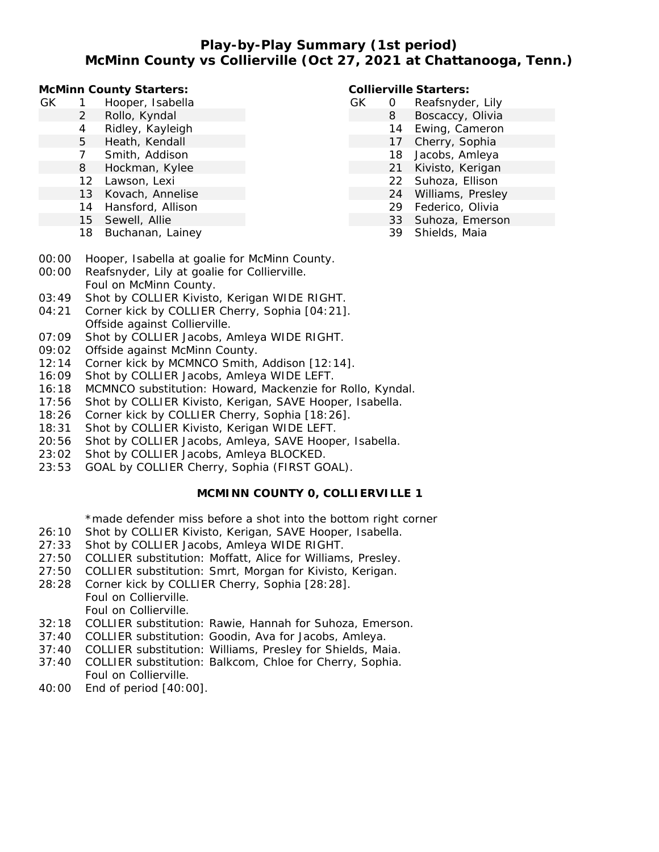## **Play-by-Play Summary (1st period) McMinn County vs Collierville (Oct 27, 2021 at Chattanooga, Tenn.)**

**McMinn County Starters:**

- GK 1 Hooper, Isabella
	- 2 Rollo, Kyndal
	- 4 Ridley, Kayleigh
	- 5 Heath, Kendall
	- 7 Smith, Addison
	- 8 Hockman, Kylee
	- 12 Lawson, Lexi
	- 13 Kovach, Annelise
	- 14 Hansford, Allison
	- 15 Sewell, Allie
	- 18 Buchanan, Lainey

**Collierville Starters:**

- GK 0 Reafsnyder, Lily 8 Boscaccy, Olivia
	- 14 Ewing, Cameron
	- 17 Cherry, Sophia
	- 18 Jacobs, Amleya
	- 21 Kivisto, Kerigan
	- 22 Suhoza, Ellison
	- 24 Williams, Presley
	- 29 Federico, Olivia
	- 33 Suhoza, Emerson
		- 39 Shields, Maia
- 00:00 Hooper, Isabella at goalie for McMinn County.
- 00:00 Reafsnyder, Lily at goalie for Collierville. Foul on McMinn County.
- 03:49 Shot by COLLIER Kivisto, Kerigan WIDE RIGHT.
- 04:21 Corner kick by COLLIER Cherry, Sophia [04:21]. Offside against Collierville.
- 07:09 Shot by COLLIER Jacobs, Amleya WIDE RIGHT.
- 09:02 Offside against McMinn County.
- 12:14 Corner kick by MCMNCO Smith, Addison [12:14].
- 16:09 Shot by COLLIER Jacobs, Amleya WIDE LEFT.
- 16:18 MCMNCO substitution: Howard, Mackenzie for Rollo, Kyndal.
- 17:56 Shot by COLLIER Kivisto, Kerigan, SAVE Hooper, Isabella.
- 18:26 Corner kick by COLLIER Cherry, Sophia [18:26].
- 18:31 Shot by COLLIER Kivisto, Kerigan WIDE LEFT.
- 20:56 Shot by COLLIER Jacobs, Amleya, SAVE Hooper, Isabella.
- 23:02 Shot by COLLIER Jacobs, Amleya BLOCKED.
- 23:53 GOAL by COLLIER Cherry, Sophia (FIRST GOAL).

### **MCMINN COUNTY 0, COLLIERVILLE 1**

\*made defender miss before a shot into the bottom right corner

- 26:10 Shot by COLLIER Kivisto, Kerigan, SAVE Hooper, Isabella.
- 27:33 Shot by COLLIER Jacobs, Amleya WIDE RIGHT.
- 27:50 COLLIER substitution: Moffatt, Alice for Williams, Presley.
- 27:50 COLLIER substitution: Smrt, Morgan for Kivisto, Kerigan.
- 28:28 Corner kick by COLLIER Cherry, Sophia [28:28]. Foul on Collierville. Foul on Collierville.
- 32:18 COLLIER substitution: Rawie, Hannah for Suhoza, Emerson.
- 37:40 COLLIER substitution: Goodin, Ava for Jacobs, Amleya.
- 37:40 COLLIER substitution: Williams, Presley for Shields, Maia.
- 37:40 COLLIER substitution: Balkcom, Chloe for Cherry, Sophia. Foul on Collierville.
- 40:00 End of period [40:00].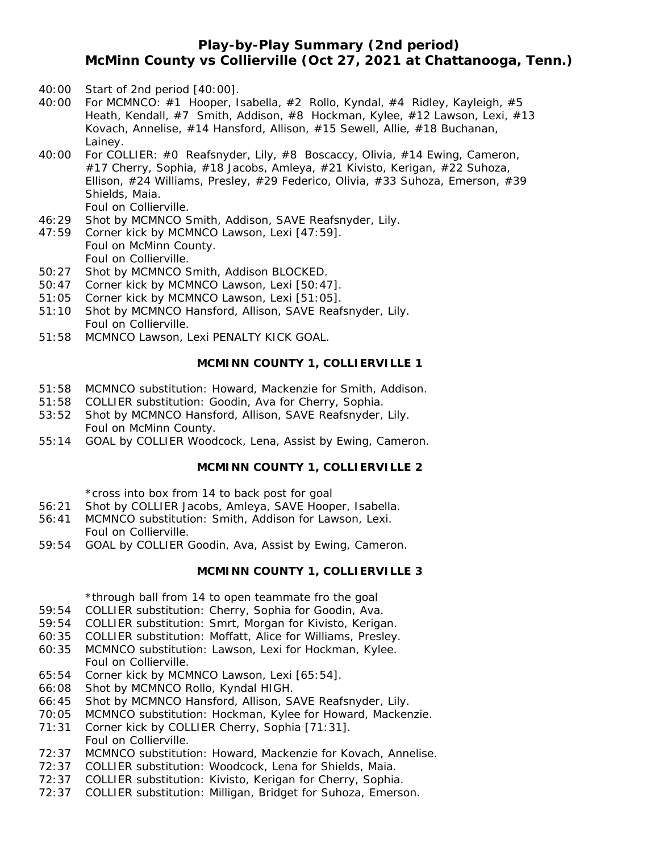# **Play-by-Play Summary (2nd period) McMinn County vs Collierville (Oct 27, 2021 at Chattanooga, Tenn.)**

- 40:00 Start of 2nd period [40:00].
- 40:00 For MCMNCO: #1 Hooper, Isabella, #2 Rollo, Kyndal, #4 Ridley, Kayleigh, #5 Heath, Kendall, #7 Smith, Addison, #8 Hockman, Kylee, #12 Lawson, Lexi, #13 Kovach, Annelise, #14 Hansford, Allison, #15 Sewell, Allie, #18 Buchanan, Lainey.
- 40:00 For COLLIER: #0 Reafsnyder, Lily, #8 Boscaccy, Olivia, #14 Ewing, Cameron, #17 Cherry, Sophia, #18 Jacobs, Amleya, #21 Kivisto, Kerigan, #22 Suhoza, Ellison, #24 Williams, Presley, #29 Federico, Olivia, #33 Suhoza, Emerson, #39 Shields, Maia. Foul on Collierville.
- 46:29 Shot by MCMNCO Smith, Addison, SAVE Reafsnyder, Lily.
- 47:59 Corner kick by MCMNCO Lawson, Lexi [47:59]. Foul on McMinn County. Foul on Collierville.
- 50:27 Shot by MCMNCO Smith, Addison BLOCKED.
- 50:47 Corner kick by MCMNCO Lawson, Lexi [50:47].
- 51:05 Corner kick by MCMNCO Lawson, Lexi [51:05].
- 51:10 Shot by MCMNCO Hansford, Allison, SAVE Reafsnyder, Lily. Foul on Collierville.
- 51:58 MCMNCO Lawson, Lexi PENALTY KICK GOAL.

#### **MCMINN COUNTY 1, COLLIERVILLE 1**

- 51:58 MCMNCO substitution: Howard, Mackenzie for Smith, Addison.
- 51:58 COLLIER substitution: Goodin, Ava for Cherry, Sophia.
- 53:52 Shot by MCMNCO Hansford, Allison, SAVE Reafsnyder, Lily. Foul on McMinn County.
- 55:14 GOAL by COLLIER Woodcock, Lena, Assist by Ewing, Cameron.

#### **MCMINN COUNTY 1, COLLIERVILLE 2**

\*cross into box from 14 to back post for goal

- 56:21 Shot by COLLIER Jacobs, Amleya, SAVE Hooper, Isabella.
- 56:41 MCMNCO substitution: Smith, Addison for Lawson, Lexi. Foul on Collierville.
- 59:54 GOAL by COLLIER Goodin, Ava, Assist by Ewing, Cameron.

#### **MCMINN COUNTY 1, COLLIERVILLE 3**

\*through ball from 14 to open teammate fro the goal

- 59:54 COLLIER substitution: Cherry, Sophia for Goodin, Ava.
- 59:54 COLLIER substitution: Smrt, Morgan for Kivisto, Kerigan.
- 60:35 COLLIER substitution: Moffatt, Alice for Williams, Presley.
- 60:35 MCMNCO substitution: Lawson, Lexi for Hockman, Kylee. Foul on Collierville.
- 65:54 Corner kick by MCMNCO Lawson, Lexi [65:54].
- 66:08 Shot by MCMNCO Rollo, Kyndal HIGH.
- 66:45 Shot by MCMNCO Hansford, Allison, SAVE Reafsnyder, Lily.
- 70:05 MCMNCO substitution: Hockman, Kylee for Howard, Mackenzie.
- 71:31 Corner kick by COLLIER Cherry, Sophia [71:31]. Foul on Collierville.
- 72:37 MCMNCO substitution: Howard, Mackenzie for Kovach, Annelise.
- 72:37 COLLIER substitution: Woodcock, Lena for Shields, Maia.
- 72:37 COLLIER substitution: Kivisto, Kerigan for Cherry, Sophia.
- 72:37 COLLIER substitution: Milligan, Bridget for Suhoza, Emerson.